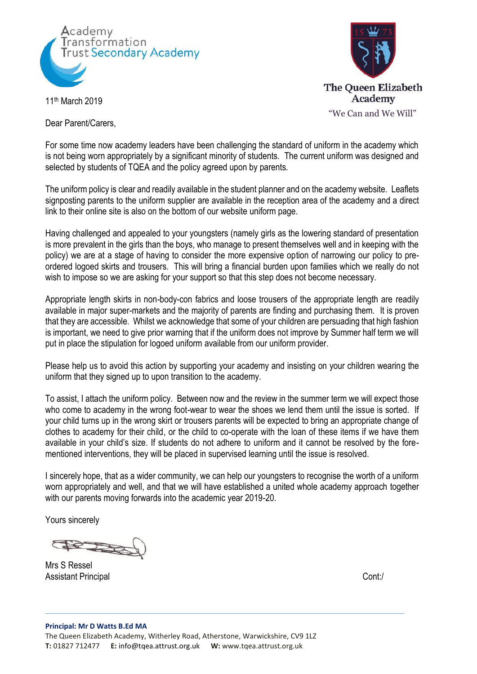



11th March 2019

Dear Parent/Carers,

For some time now academy leaders have been challenging the standard of uniform in the academy which is not being worn appropriately by a significant minority of students. The current uniform was designed and selected by students of TQEA and the policy agreed upon by parents.

The uniform policy is clear and readily available in the student planner and on the academy website. Leaflets signposting parents to the uniform supplier are available in the reception area of the academy and a direct link to their online site is also on the bottom of our website uniform page.

Having challenged and appealed to your youngsters (namely girls as the lowering standard of presentation is more prevalent in the girls than the boys, who manage to present themselves well and in keeping with the policy) we are at a stage of having to consider the more expensive option of narrowing our policy to preordered logoed skirts and trousers. This will bring a financial burden upon families which we really do not wish to impose so we are asking for your support so that this step does not become necessary.

Appropriate length skirts in non-body-con fabrics and loose trousers of the appropriate length are readily available in major super-markets and the majority of parents are finding and purchasing them. It is proven that they are accessible. Whilst we acknowledge that some of your children are persuading that high fashion is important, we need to give prior warning that if the uniform does not improve by Summer half term we will put in place the stipulation for logoed uniform available from our uniform provider.

Please help us to avoid this action by supporting your academy and insisting on your children wearing the uniform that they signed up to upon transition to the academy.

To assist, I attach the uniform policy. Between now and the review in the summer term we will expect those who come to academy in the wrong foot-wear to wear the shoes we lend them until the issue is sorted. If your child turns up in the wrong skirt or trousers parents will be expected to bring an appropriate change of clothes to academy for their child, or the child to co-operate with the loan of these items if we have them available in your child's size. If students do not adhere to uniform and it cannot be resolved by the forementioned interventions, they will be placed in supervised learning until the issue is resolved.

I sincerely hope, that as a wider community, we can help our youngsters to recognise the worth of a uniform worn appropriately and well, and that we will have established a united whole academy approach together with our parents moving forwards into the academic year 2019-20.

Yours sincerely

Mrs S Ressel Assistant Principal Continuing Continuing Continuing Continuing Continuing Continuing Continuing Continuing Continuing Continuing Continuing Continuing Continuing Continuing Continuing Continuing Continuing Continuing Cont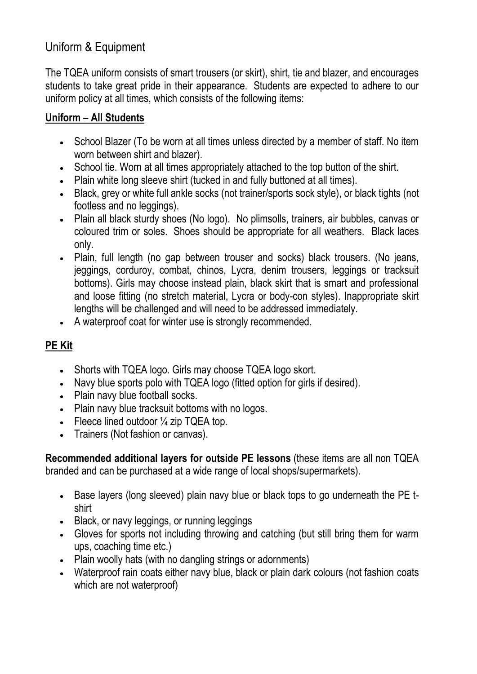# Uniform & Equipment

The TQEA uniform consists of smart trousers (or skirt), shirt, tie and blazer, and encourages students to take great pride in their appearance. Students are expected to adhere to our uniform policy at all times, which consists of the following items:

### **Uniform – All Students**

- School Blazer (To be worn at all times unless directed by a member of staff. No item worn between shirt and blazer).
- School tie. Worn at all times appropriately attached to the top button of the shirt.
- Plain white long sleeve shirt (tucked in and fully buttoned at all times).
- Black, grey or white full ankle socks (not trainer/sports sock style), or black tights (not footless and no leggings).
- Plain all black sturdy shoes (No logo). No plimsolls, trainers, air bubbles, canvas or coloured trim or soles. Shoes should be appropriate for all weathers. Black laces only.
- Plain, full length (no gap between trouser and socks) black trousers. (No jeans, jeggings, corduroy, combat, chinos, Lycra, denim trousers, leggings or tracksuit bottoms). Girls may choose instead plain, black skirt that is smart and professional and loose fitting (no stretch material, Lycra or body-con styles). Inappropriate skirt lengths will be challenged and will need to be addressed immediately.
- A waterproof coat for winter use is strongly recommended.

## **PE Kit**

- Shorts with TQEA logo. Girls may choose TQEA logo skort.
- Navy blue sports polo with TQEA logo (fitted option for girls if desired).
- Plain navy blue football socks.
- Plain navy blue tracksuit bottoms with no logos.
- Fleece lined outdoor  $\frac{1}{4}$  zip TQEA top.
- Trainers (Not fashion or canvas).

**Recommended additional layers for outside PE lessons** (these items are all non TQEA branded and can be purchased at a wide range of local shops/supermarkets).

- Base layers (long sleeved) plain navy blue or black tops to go underneath the PE tshirt
- Black, or navy leggings, or running leggings
- Gloves for sports not including throwing and catching (but still bring them for warm ups, coaching time etc.)
- Plain woolly hats (with no dangling strings or adornments)
- Waterproof rain coats either navy blue, black or plain dark colours (not fashion coats which are not waterproof)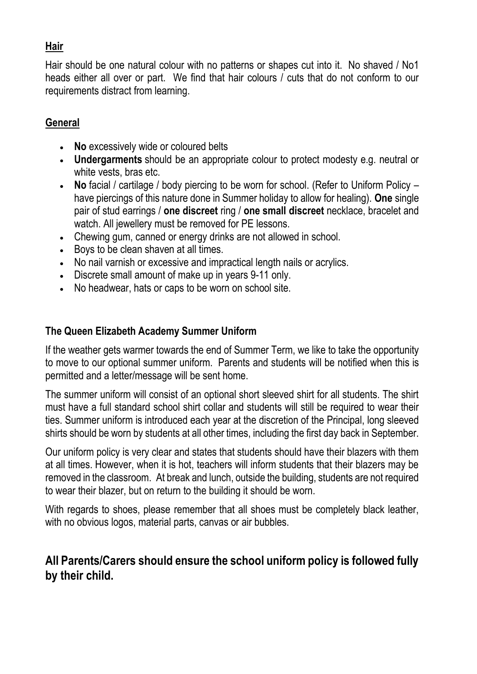#### **Hair**

Hair should be one natural colour with no patterns or shapes cut into it. No shaved / No1 heads either all over or part. We find that hair colours / cuts that do not conform to our requirements distract from learning.

#### **General**

- **No** excessively wide or coloured belts
- **Undergarments** should be an appropriate colour to protect modesty e.g. neutral or white vests, bras etc.
- **No** facial / cartilage / body piercing to be worn for school. (Refer to Uniform Policy have piercings of this nature done in Summer holiday to allow for healing). **One** single pair of stud earrings / **one discreet** ring / **one small discreet** necklace, bracelet and watch. All jewellery must be removed for PE lessons.
- Chewing gum, canned or energy drinks are not allowed in school.
- Boys to be clean shaven at all times.
- No nail varnish or excessive and impractical length nails or acrylics.
- Discrete small amount of make up in years 9-11 only.
- No headwear, hats or caps to be worn on school site.

#### **The Queen Elizabeth Academy Summer Uniform**

If the weather gets warmer towards the end of Summer Term, we like to take the opportunity to move to our optional summer uniform. Parents and students will be notified when this is permitted and a letter/message will be sent home.

The summer uniform will consist of an optional short sleeved shirt for all students. The shirt must have a full standard school shirt collar and students will still be required to wear their ties. Summer uniform is introduced each year at the discretion of the Principal, long sleeved shirts should be worn by students at all other times, including the first day back in September.

Our uniform policy is very clear and states that students should have their blazers with them at all times. However, when it is hot, teachers will inform students that their blazers may be removed in the classroom. At break and lunch, outside the building, students are not required to wear their blazer, but on return to the building it should be worn.

With regards to shoes, please remember that all shoes must be completely black leather, with no obvious logos, material parts, canvas or air bubbles.

## **All Parents/Carers should ensure the school uniform policy is followed fully by their child.**